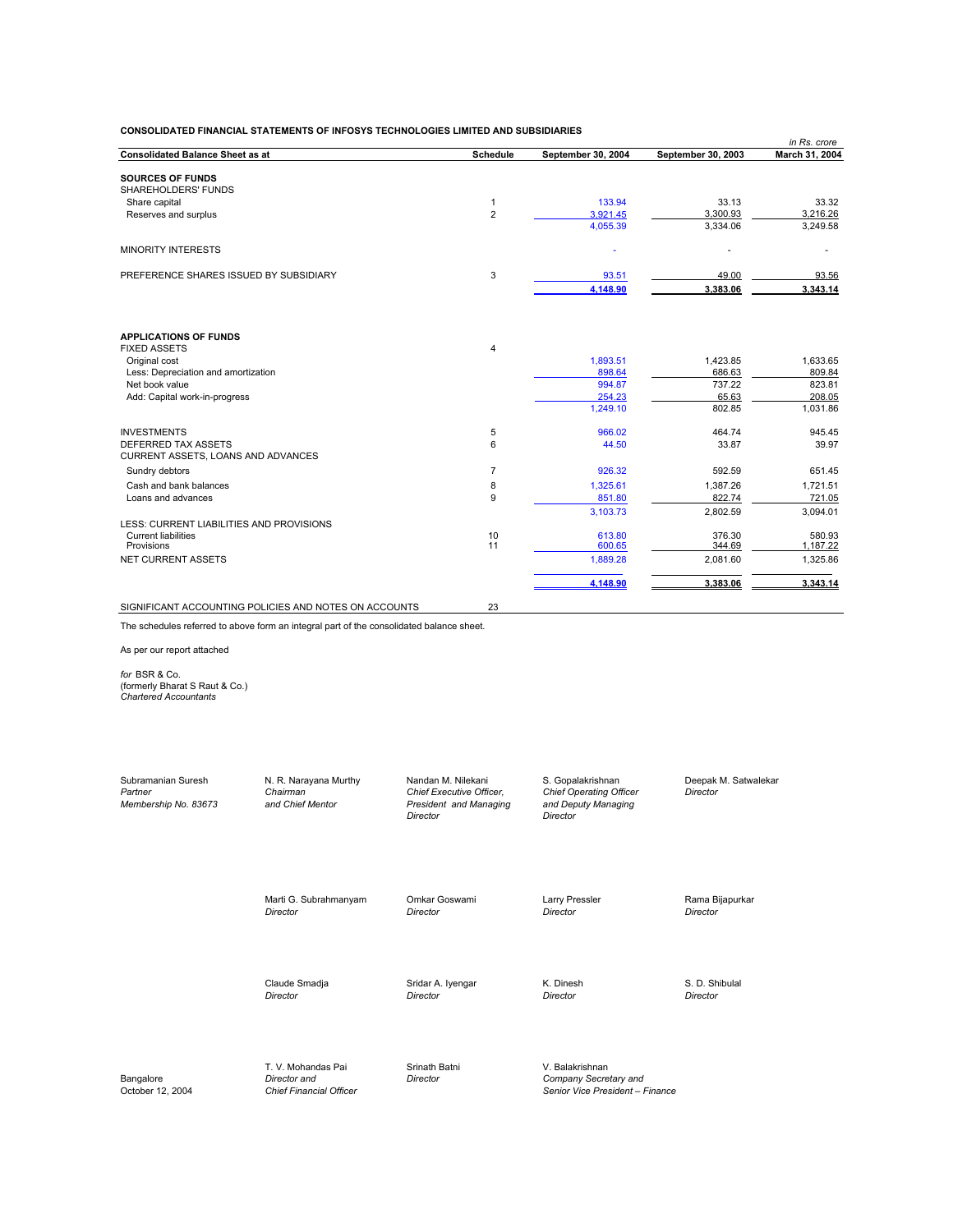|                |                                                                             |                                                                                                                                      | in Rs. crore                                                                                                                       |
|----------------|-----------------------------------------------------------------------------|--------------------------------------------------------------------------------------------------------------------------------------|------------------------------------------------------------------------------------------------------------------------------------|
| Schedule       | September 30, 2004                                                          | September 30, 2003                                                                                                                   | March 31, 2004                                                                                                                     |
|                |                                                                             |                                                                                                                                      |                                                                                                                                    |
|                |                                                                             |                                                                                                                                      |                                                                                                                                    |
|                |                                                                             |                                                                                                                                      | 33.32                                                                                                                              |
|                |                                                                             |                                                                                                                                      | 3,216.26                                                                                                                           |
|                | 4,055.39                                                                    | 3,334.06                                                                                                                             | 3,249.58                                                                                                                           |
|                |                                                                             |                                                                                                                                      |                                                                                                                                    |
|                |                                                                             |                                                                                                                                      | 93.56                                                                                                                              |
|                |                                                                             |                                                                                                                                      | 3,343.14                                                                                                                           |
|                |                                                                             |                                                                                                                                      |                                                                                                                                    |
|                |                                                                             |                                                                                                                                      |                                                                                                                                    |
|                |                                                                             |                                                                                                                                      |                                                                                                                                    |
|                |                                                                             |                                                                                                                                      | 1,633.65                                                                                                                           |
|                |                                                                             |                                                                                                                                      | 809.84                                                                                                                             |
|                |                                                                             |                                                                                                                                      | 823.81<br>208.05                                                                                                                   |
|                | 1.249.10                                                                    | 802.85                                                                                                                               | 1,031.86                                                                                                                           |
|                |                                                                             |                                                                                                                                      |                                                                                                                                    |
|                |                                                                             |                                                                                                                                      | 945.45                                                                                                                             |
|                |                                                                             |                                                                                                                                      | 39.97                                                                                                                              |
| $\overline{7}$ | 926.32                                                                      | 592.59                                                                                                                               | 651.45                                                                                                                             |
| 8              | 1,325.61                                                                    | 1,387.26                                                                                                                             | 1,721.51                                                                                                                           |
| 9              | 851.80                                                                      | 822.74                                                                                                                               | 721.05                                                                                                                             |
|                | 3.103.73                                                                    | 2.802.59                                                                                                                             | 3,094.01                                                                                                                           |
|                |                                                                             |                                                                                                                                      |                                                                                                                                    |
|                |                                                                             |                                                                                                                                      | 580.93                                                                                                                             |
|                |                                                                             |                                                                                                                                      | 1,187.22                                                                                                                           |
|                |                                                                             |                                                                                                                                      | 1,325.86                                                                                                                           |
|                | 4,148.90                                                                    | 3,383.06                                                                                                                             | 3,343.14                                                                                                                           |
|                | $\mathbf{1}$<br>$\overline{2}$<br>3<br>$\overline{4}$<br>5<br>6<br>10<br>11 | 133.94<br>3,921.45<br>93.51<br>4,148.90<br>1,893.51<br>898.64<br>994.87<br>254.23<br>966.02<br>44.50<br>613.80<br>600.65<br>1,889.28 | 33.13<br>3,300.93<br>49.00<br>3,383.06<br>1,423.85<br>686.63<br>737.22<br>65.63<br>464.74<br>33.87<br>376.30<br>344.69<br>2,081.60 |

SIGNIFICANT ACCOUNTING POLICIES AND NOTES ON ACCOUNTS 23

The schedules referred to above form an integral part of the consolidated balance sheet.

As per our report attached

*for* BSR & Co. (formerly Bharat S Raut & Co.) *Chartered Accountants*

Subramanian Suresh N. R. Narayana Murthy Nandan M. Nilekani S. Gopalakrishnan Deepak M. Satwalekar<br>Partner Director Director Chairman Chairman Chief Executive Officer, Chief Operating Officer Director Partner **Chairman** Chairman Chairman Chief Executive Officer, Chief Operating Officer<br>20 Membership No. 83673 and Chief Mentor President and Managing and Deputy Managing *Membership No. 83673 and Chief Mentor President and Managing and Deputy Managing Director Director*

Marti G. Subrahmanyam Omkar Goswami Larry Pressler Cama Bijapurkar Director Christen Christen Christen Christen Christen Christen Christen Christen Christen Christen Christen Christen Christen Christen Christen Christen Ch *Director Director Director Director*

Claude Smadja Sridar A. Iyengar K. Dinesh S. D. Shibulal *Director Director Director Director*

T. V. Mohandas Pai Srinath Batni V. Balakrishnan Director and Director Company Secre

Bangalore *Director and Director and Director Director Company Secretary and Company Secretary and Company Secretary and Company Secretary and Cotober 12, 2004 Chief Financial Officer Company Senior Vice Pr* Senior Vice President – Finance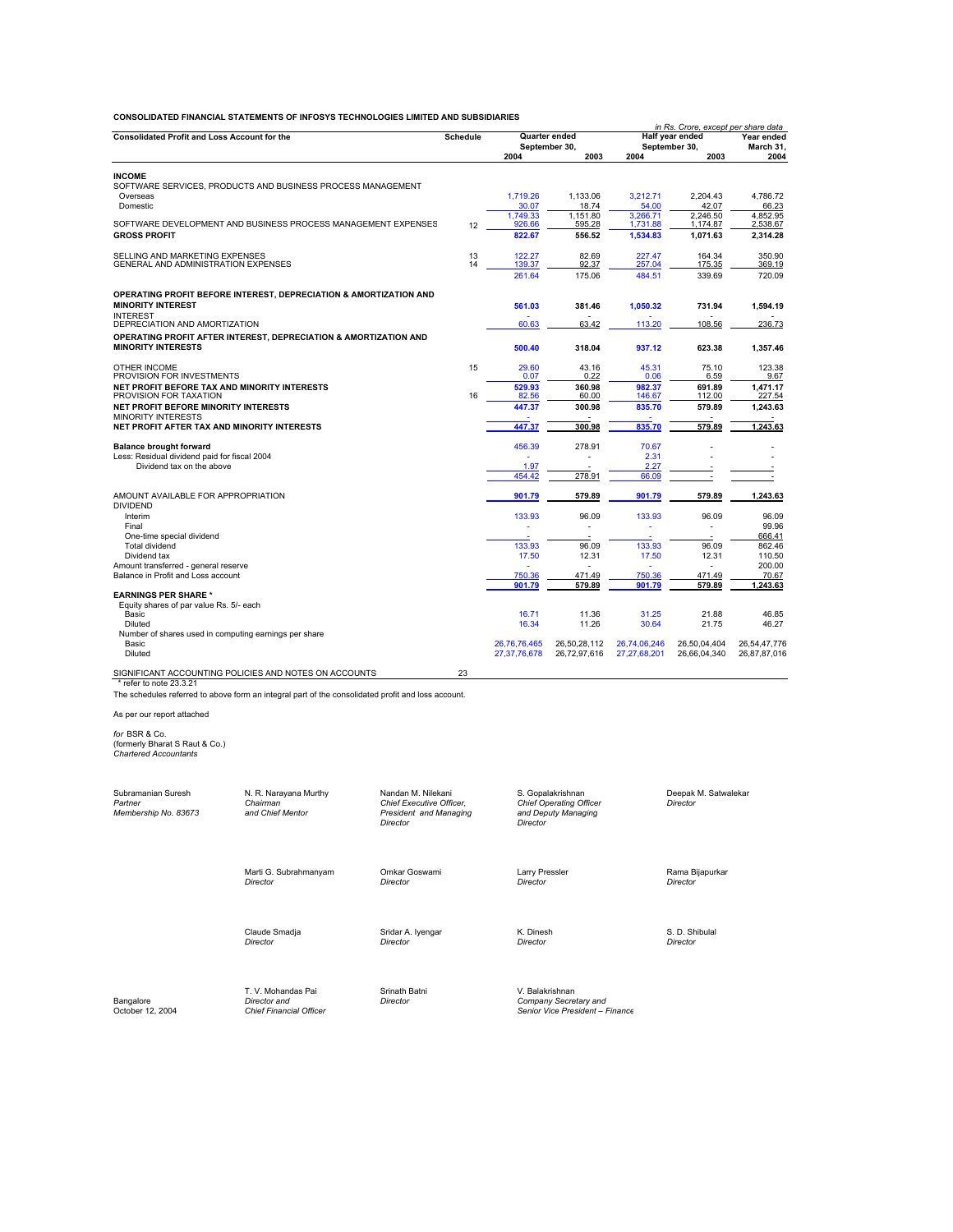| <b>Consolidated Profit and Loss Account for the</b>                                           |                 |                   | Quarter ended     | Half year ended   | in Rs. Crore, except per share data<br>Year ended |                   |  |
|-----------------------------------------------------------------------------------------------|-----------------|-------------------|-------------------|-------------------|---------------------------------------------------|-------------------|--|
|                                                                                               | <b>Schedule</b> | September 30,     |                   |                   | September 30.                                     | March 31,         |  |
|                                                                                               |                 | 2004              | 2003              | 2004              | 2003                                              | 2004              |  |
| <b>INCOME</b>                                                                                 |                 |                   |                   |                   |                                                   |                   |  |
| SOFTWARE SERVICES, PRODUCTS AND BUSINESS PROCESS MANAGEMENT                                   |                 |                   |                   |                   |                                                   |                   |  |
| Overseas                                                                                      |                 | 1.719.26          | 1.133.06          | 3.212.71          | 2.204.43                                          | 4.786.72          |  |
| Domestic                                                                                      |                 | 30.07<br>1.749.33 | 18.74<br>1.151.80 | 54.00<br>3.266.71 | 42.07<br>2.246.50                                 | 66.23<br>4.852.95 |  |
| SOFTWARE DEVELOPMENT AND BUSINESS PROCESS MANAGEMENT EXPENSES                                 | 12              | 926.66            | 595.28            | 1,731.88          | 1,174.87                                          | 2,538.67          |  |
| <b>GROSS PROFIT</b>                                                                           |                 | 822.67            | 556.52            | 1,534.83          | 1,071.63                                          | 2,314.28          |  |
| SELLING AND MARKETING EXPENSES                                                                | 13              | 122.27            | 82.69             | 227.47            | 164.34                                            | 350.90            |  |
| GENERAL AND ADMINISTRATION EXPENSES                                                           | 14              | 139.37            | 92.37             | 257.04            | 175.35                                            | 369.19            |  |
|                                                                                               |                 | 261.64            | 175.06            | 484.51            | 339.69                                            | 720.09            |  |
| OPERATING PROFIT BEFORE INTEREST, DEPRECIATION & AMORTIZATION AND                             |                 |                   |                   |                   |                                                   |                   |  |
| <b>MINORITY INTEREST</b>                                                                      |                 | 561.03            | 381.46            | 1,050.32          | 731.94                                            | 1,594.19          |  |
| <b>INTEREST</b>                                                                               |                 |                   |                   |                   |                                                   |                   |  |
| DEPRECIATION AND AMORTIZATION                                                                 |                 | 60.63             | 63.42             | 113.20            | 108.56                                            | 236.73            |  |
| OPERATING PROFIT AFTER INTEREST, DEPRECIATION & AMORTIZATION AND<br><b>MINORITY INTERESTS</b> |                 | 500.40            | 318.04            | 937.12            | 623.38                                            | 1,357.46          |  |
|                                                                                               |                 |                   |                   |                   |                                                   |                   |  |
| OTHER INCOME                                                                                  | 15              | 29.60             | 43.16             | 45.31             | 75.10                                             | 123.38            |  |
| PROVISION FOR INVESTMENTS<br>NET PROFIT BEFORE TAX AND MINORITY INTERESTS                     |                 | 0.07<br>529.93    | 0.22<br>360.98    | 0.06<br>982.37    | 6.59<br>691.89                                    | 9.67<br>1,471.17  |  |
| PROVISION FOR TAXATION                                                                        | 16              | 82.56             | 60.00             | 146.67            | 112.00                                            | 227.54            |  |
| NET PROFIT BEFORE MINORITY INTERESTS                                                          |                 | 447.37            | 300.98            | 835.70            | 579.89                                            | 1,243.63          |  |
| <b>MINORITY INTERESTS</b>                                                                     |                 |                   |                   |                   |                                                   |                   |  |
| NET PROFIT AFTER TAX AND MINORITY INTERESTS                                                   |                 | 447.37            | 300.98            | 835.70            | 579.89                                            | 1.243.63          |  |
| <b>Balance brought forward</b>                                                                |                 | 456.39            | 278.91            | 70.67             |                                                   |                   |  |
| Less: Residual dividend paid for fiscal 2004                                                  |                 |                   |                   | 2.31              |                                                   |                   |  |
| Dividend tax on the above                                                                     |                 | 1.97<br>454.42    | 278.91            | 2.27<br>66.09     | $\overline{\phantom{a}}$                          | ч.                |  |
|                                                                                               |                 |                   |                   |                   |                                                   |                   |  |
| AMOUNT AVAILABLE FOR APPROPRIATION                                                            |                 | 901.79            | 579.89            | 901.79            | 579.89                                            | 1,243.63          |  |
| <b>DIVIDEND</b>                                                                               |                 |                   |                   |                   |                                                   |                   |  |
| Interim<br>Final                                                                              |                 | 133.93            | 96.09             | 133.93            | 96.09                                             | 96.09<br>99.96    |  |
| One-time special dividend                                                                     |                 |                   |                   |                   |                                                   | 666.41            |  |
| <b>Total dividend</b>                                                                         |                 | 133.93            | 96.09             | 133.93            | 96.09                                             | 862.46            |  |
| Dividend tax                                                                                  |                 | 17.50             | 12.31             | 17.50             | 12.31                                             | 110.50            |  |
| Amount transferred - general reserve<br>Balance in Profit and Loss account                    |                 | 750.36            | 471.49            | 750.36            | 471.49                                            | 200.00<br>70.67   |  |
|                                                                                               |                 | 901.79            | 579.89            | 901.79            | 579.89                                            | 1.243.63          |  |
| <b>EARNINGS PER SHARE *</b>                                                                   |                 |                   |                   |                   |                                                   |                   |  |
| Equity shares of par value Rs. 5/- each                                                       |                 |                   |                   |                   |                                                   |                   |  |
| Basic<br><b>Diluted</b>                                                                       |                 | 16.71<br>16.34    | 11.36<br>11.26    | 31.25<br>30.64    | 21.88<br>21.75                                    | 46.85<br>46.27    |  |
| Number of shares used in computing earnings per share                                         |                 |                   |                   |                   |                                                   |                   |  |
| Basic                                                                                         |                 | 26,76,76,465      | 26,50,28,112      | 26,74,06,246      | 26,50,04,404                                      | 26,54,47,776      |  |
| Diluted                                                                                       |                 | 27,37,76,678      | 26,72,97,616      | 27,27,68,201      | 26.66.04.340                                      | 26.87.87.016      |  |
| SIGNIFICANT ACCOUNTING POLICIES AND NOTES ON ACCOUNTS                                         | 23              |                   |                   |                   |                                                   |                   |  |
| * refer to note 23.3.21                                                                       |                 |                   |                   |                   |                                                   |                   |  |

As per our report attached

*for* BSR & Co. (formerly Bharat S Raut & Co.) *Chartered Accountants*

| Subramanian Suresh<br>Partner<br>Membership No. 83673 | N. R. Narayana Murthy<br>Chairman<br>and Chief Mentor                | Nandan M. Nilekani<br>Chief Executive Officer,<br>President and Managing<br>Director | S. Gopalakrishnan<br><b>Chief Operating Officer</b><br>and Deputy Managing<br>Director | Deepak M. Satwalekar<br><b>Director</b> |
|-------------------------------------------------------|----------------------------------------------------------------------|--------------------------------------------------------------------------------------|----------------------------------------------------------------------------------------|-----------------------------------------|
|                                                       | Marti G. Subrahmanyam<br>Director                                    | Omkar Goswami<br>Director                                                            | Larry Pressler<br>Director                                                             | Rama Bijapurkar<br><b>Director</b>      |
|                                                       | Claude Smadja<br><b>Director</b>                                     | Sridar A. Iyengar<br><b>Director</b>                                                 | K. Dinesh<br>Director                                                                  | S. D. Shibulal<br>Director              |
| Bangalore<br>October 12, 2004                         | T. V. Mohandas Pai<br>Director and<br><b>Chief Financial Officer</b> | Srinath Batni<br>Director                                                            | V. Balakrishnan<br>Company Secretary and<br>Senior Vice President - Finance            |                                         |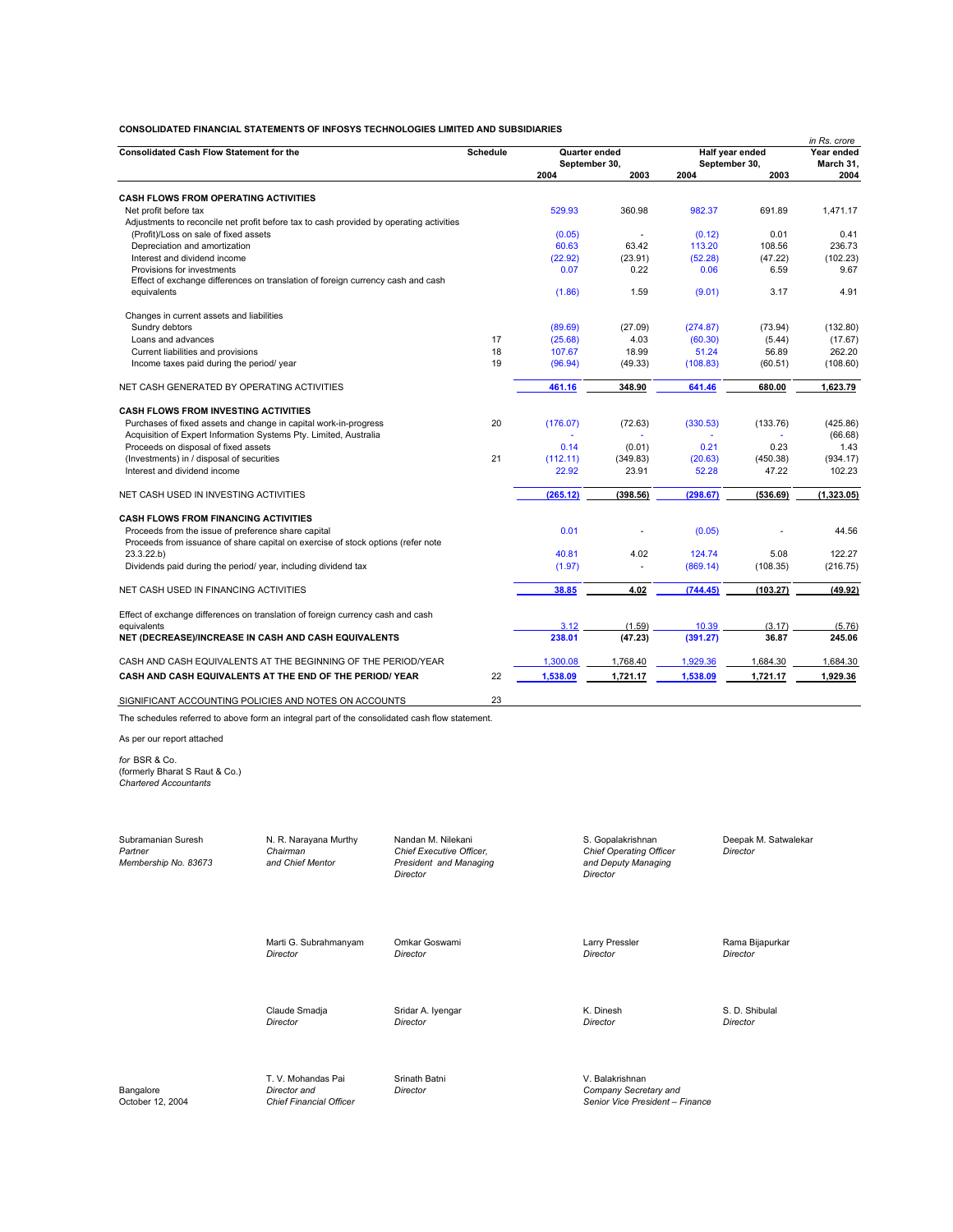|                                                                                                                                         |                 |               |          |                 |            | in Rs. crore |
|-----------------------------------------------------------------------------------------------------------------------------------------|-----------------|---------------|----------|-----------------|------------|--------------|
| <b>Consolidated Cash Flow Statement for the</b>                                                                                         | <b>Schedule</b> | Quarter ended |          | Half year ended | Year ended |              |
|                                                                                                                                         |                 | September 30, |          | September 30,   |            | March 31,    |
|                                                                                                                                         |                 | 2004          | 2003     | 2004            | 2003       | 2004         |
| <b>CASH FLOWS FROM OPERATING ACTIVITIES</b>                                                                                             |                 |               |          |                 |            |              |
| Net profit before tax                                                                                                                   |                 | 529.93        | 360.98   | 982.37          | 691.89     | 1.471.17     |
| Adjustments to reconcile net profit before tax to cash provided by operating activities                                                 |                 |               |          |                 |            |              |
| (Profit)/Loss on sale of fixed assets                                                                                                   |                 | (0.05)        | ä,       | (0.12)          | 0.01       | 0.41         |
| Depreciation and amortization                                                                                                           |                 | 60.63         | 63.42    | 113.20          | 108.56     | 236.73       |
| Interest and dividend income                                                                                                            |                 | (22.92)       | (23.91)  | (52.28)         | (47.22)    | (102.23)     |
| Provisions for investments                                                                                                              |                 | 0.07          | 0.22     | 0.06            | 6.59       | 9.67         |
| Effect of exchange differences on translation of foreign currency cash and cash                                                         |                 |               |          |                 |            |              |
| equivalents                                                                                                                             |                 | (1.86)        | 1.59     | (9.01)          | 3.17       | 4.91         |
| Changes in current assets and liabilities                                                                                               |                 |               |          |                 |            |              |
| Sundry debtors                                                                                                                          |                 | (89.69)       | (27.09)  | (274.87)        | (73.94)    | (132.80)     |
| Loans and advances                                                                                                                      | 17              | (25.68)       | 4.03     | (60.30)         | (5.44)     | (17.67)      |
| Current liabilities and provisions                                                                                                      | 18              | 107.67        | 18.99    | 51.24           | 56.89      | 262.20       |
| Income taxes paid during the period/ year                                                                                               | 19              | (96.94)       | (49.33)  | (108.83)        | (60.51)    | (108.60)     |
| NET CASH GENERATED BY OPERATING ACTIVITIES                                                                                              |                 | 461.16        | 348.90   | 641.46          | 680.00     | 1,623.79     |
| <b>CASH FLOWS FROM INVESTING ACTIVITIES</b>                                                                                             |                 |               |          |                 |            |              |
| Purchases of fixed assets and change in capital work-in-progress                                                                        | 20              | (176.07)      | (72.63)  | (330.53)        | (133.76)   | (425.86)     |
| Acquisition of Expert Information Systems Pty. Limited, Australia                                                                       |                 |               |          |                 |            | (66.68)      |
| Proceeds on disposal of fixed assets                                                                                                    |                 | 0.14          | (0.01)   | 0.21            | 0.23       | 1.43         |
| (Investments) in / disposal of securities                                                                                               | 21              | (112.11)      | (349.83) | (20.63)         | (450.38)   | (934.17)     |
| Interest and dividend income                                                                                                            |                 | 22.92         | 23.91    | 52.28           | 47.22      | 102.23       |
| NET CASH USED IN INVESTING ACTIVITIES                                                                                                   |                 | (265.12)      | (398.56) | (298.67)        | (536.69)   | (1.323.05)   |
|                                                                                                                                         |                 |               |          |                 |            |              |
| <b>CASH FLOWS FROM FINANCING ACTIVITIES</b>                                                                                             |                 |               |          |                 |            |              |
| Proceeds from the issue of preference share capital<br>Proceeds from issuance of share capital on exercise of stock options (refer note |                 | 0.01          |          | (0.05)          |            | 44.56        |
| 23.3.22.b                                                                                                                               |                 | 40.81         | 4.02     | 124.74          | 5.08       | 122.27       |
| Dividends paid during the period/year, including dividend tax                                                                           |                 | (1.97)        |          | (869.14)        | (108.35)   | (216.75)     |
| NET CASH USED IN FINANCING ACTIVITIES                                                                                                   |                 | 38.85         | 4.02     | (744.45)        | (103.27)   | (49.92)      |
| Effect of exchange differences on translation of foreign currency cash and cash                                                         |                 |               |          |                 |            |              |
| equivalents                                                                                                                             |                 | 3.12          | (1.59)   | 10.39           | (3.17)     | (5.76)       |
| <b>NET (DECREASE)/INCREASE IN CASH AND CASH EQUIVALENTS</b>                                                                             |                 | 238.01        | (47.23)  | (391.27)        | 36.87      | 245.06       |
| CASH AND CASH EQUIVALENTS AT THE BEGINNING OF THE PERIOD/YEAR                                                                           |                 | 1,300.08      | 1,768.40 | 1.929.36        | 1,684.30   | 1,684.30     |
| CASH AND CASH EQUIVALENTS AT THE END OF THE PERIOD/YEAR                                                                                 | 22              | 1,538.09      | 1,721.17 | 1,538.09        | 1,721.17   | 1,929.36     |
| SIGNIFICANT ACCOUNTING POLICIES AND NOTES ON ACCOUNTS                                                                                   | 23              |               |          |                 |            |              |

The schedules referred to above form an integral part of the consolidated cash flow statement.

As per our report attached *for* BSR & Co. (formerly Bharat S Raut & Co.) *Chartered Accountants*

Subramanian Suresh N. R. Narayana Murthy Nandan M. Nilekani S. Gopalakrishnan Deepak M. Satwalekar<br>1. Chief Director Chairman Chief Executive Officer, Chief Operating Officer Director Partner Chairman Chairman Chairman Chairman Chief Executive Officer, **Partner Chairman Chief Operating Officer**<br>Partner Chairman Chief Operating Officer Chief Operating Officer Chief Operating Officer Chief Operating Offic President and Managing and Dep<br> *Director President and Managing* and Dep<br>
Director **Director** *Director Director*

Marti G. Subrahmanyam Omkar Goswami **Larry Pressler Communist Communist** Communist Communist Pressler Rama Bijapurkar<br>
Director Director Director Director *Director Director Director Director*

Claude Smadja Sridar A. Iyengar National S. D. Shibulal Claude Smadja S. D. Shibulal Clirector Click Control Clirector S. D. Shibulal Clirector Clirector S. D. Shibulal Clirector Street Clirector Clirector Clirector Clirec *Director Director Director Director*

T. V. Mohandas Pai Srinath Batni<br>
Director and Director

Bangalore *Director and Director Company Secretary and* October 12, 2004 *Chief Financial Officer Senior Vice President – Finance*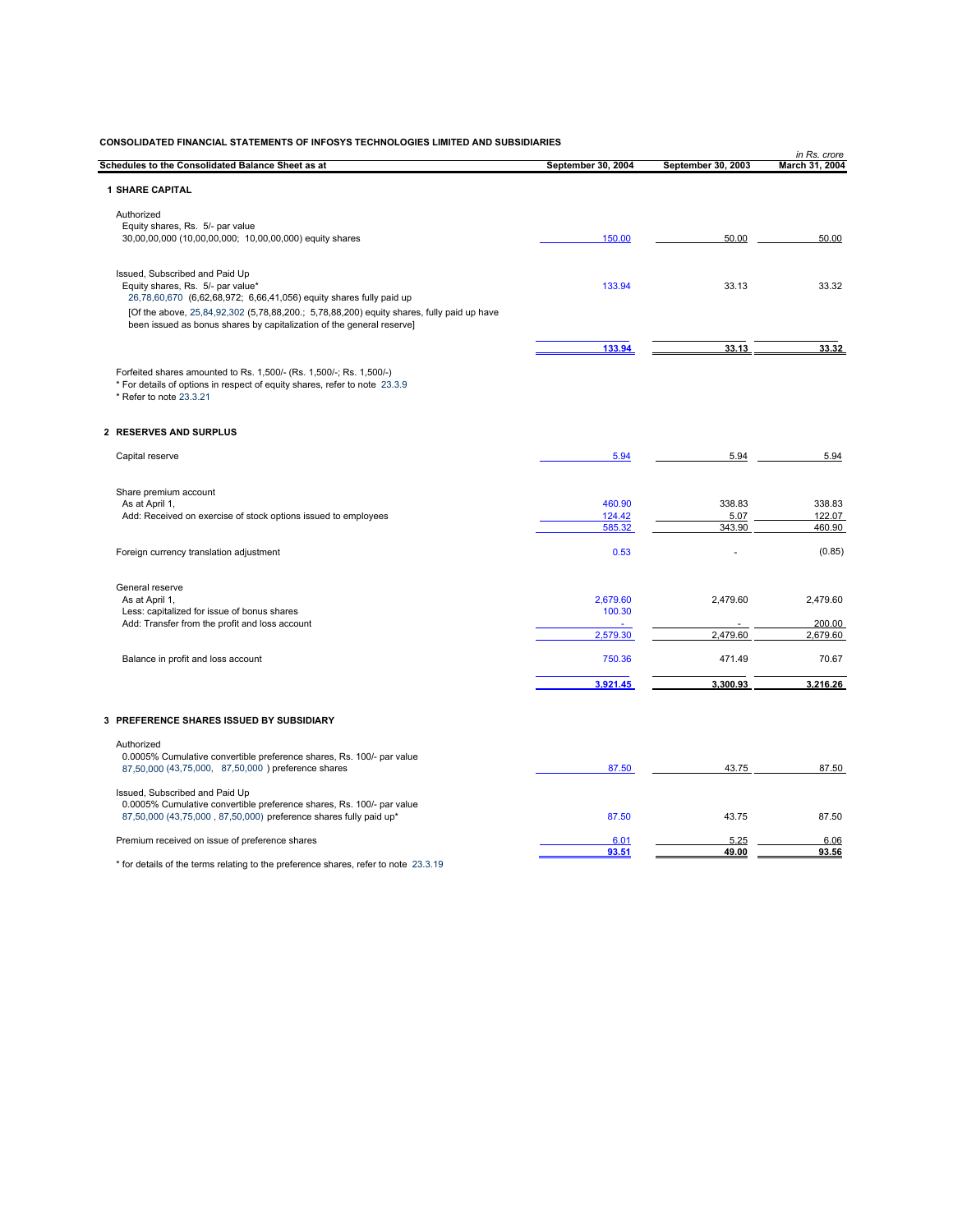| Schedules to the Consolidated Balance Sheet as at                                                                                                                  | September 30, 2004 | September 30, 2003 | in Rs. crore<br>March 31, 2004 |
|--------------------------------------------------------------------------------------------------------------------------------------------------------------------|--------------------|--------------------|--------------------------------|
| <b>1 SHARE CAPITAL</b>                                                                                                                                             |                    |                    |                                |
| Authorized                                                                                                                                                         |                    |                    |                                |
| Equity shares, Rs. 5/- par value                                                                                                                                   |                    |                    |                                |
| 30,00,00,000 (10,00,00,000; 10,00,00,000) equity shares                                                                                                            | 150.00             | 50.00              | 50.00                          |
| Issued, Subscribed and Paid Up                                                                                                                                     |                    |                    |                                |
| Equity shares, Rs. 5/- par value*<br>26,78,60,670 (6,62,68,972; 6,66,41,056) equity shares fully paid up                                                           | 133.94             | 33.13              | 33.32                          |
| [Of the above, 25,84,92,302 (5,78,88,200.; 5,78,88,200) equity shares, fully paid up have<br>been issued as bonus shares by capitalization of the general reserve] |                    |                    |                                |
|                                                                                                                                                                    | 133.94             | 33.13              | 33.32                          |
| Forfeited shares amounted to Rs. 1,500/- (Rs. 1,500/-; Rs. 1,500/-)                                                                                                |                    |                    |                                |
| * For details of options in respect of equity shares, refer to note 23.3.9<br>* Refer to note 23.3.21                                                              |                    |                    |                                |
| 2 RESERVES AND SURPLUS                                                                                                                                             |                    |                    |                                |
| Capital reserve                                                                                                                                                    | 5.94               | 5.94               | 5.94                           |
| Share premium account                                                                                                                                              |                    |                    |                                |
| As at April 1,                                                                                                                                                     | 460.90             | 338.83             | 338.83                         |
| Add: Received on exercise of stock options issued to employees                                                                                                     | 124.42<br>585.32   | 5.07<br>343.90     | 122.07<br>460.90               |
| Foreign currency translation adjustment                                                                                                                            | 0.53               |                    | (0.85)                         |
| General reserve                                                                                                                                                    |                    |                    |                                |
| As at April 1,                                                                                                                                                     | 2,679.60           | 2,479.60           | 2,479.60                       |
| Less: capitalized for issue of bonus shares<br>Add: Transfer from the profit and loss account                                                                      | 100.30             |                    | 200.00                         |
|                                                                                                                                                                    | 2.579.30           | 2.479.60           | 2,679.60                       |
| Balance in profit and loss account                                                                                                                                 | 750.36             | 471.49             | 70.67                          |
|                                                                                                                                                                    | 3,921.45           | 3,300.93           | 3,216.26                       |
| 3 PREFERENCE SHARES ISSUED BY SUBSIDIARY                                                                                                                           |                    |                    |                                |
| Authorized                                                                                                                                                         |                    |                    |                                |
| 0.0005% Cumulative convertible preference shares, Rs. 100/- par value<br>87,50,000 (43,75,000, 87,50,000) preference shares                                        | 87.50              | 43.75              | 87.50                          |
| Issued, Subscribed and Paid Up                                                                                                                                     |                    |                    |                                |
| 0.0005% Cumulative convertible preference shares, Rs. 100/- par value<br>87,50,000 (43,75,000, 87,50,000) preference shares fully paid up*                         | 87.50              | 43.75              | 87.50                          |
| Premium received on issue of preference shares                                                                                                                     | 6.01               | 5.25               | 6.06                           |
| * for details of the terms relating to the preference shares, refer to note 23.3.19                                                                                | 93.51              | 49.00              | 93.56                          |
|                                                                                                                                                                    |                    |                    |                                |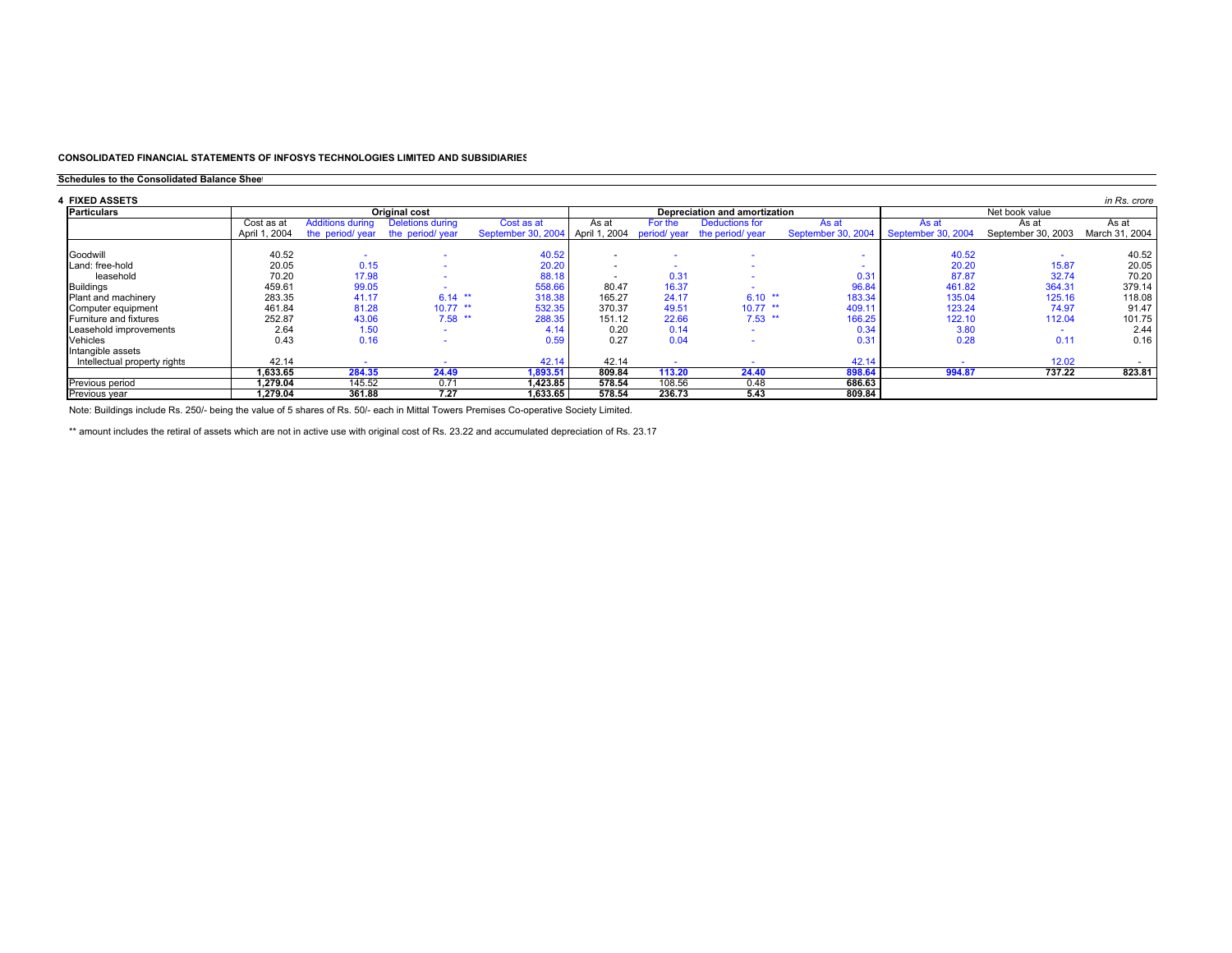### **Schedules to the Consolidated Balance Sheet**

| 4  FIXED ASSETS              |               |                         |                          |                    |               |              |                               |                    |                    |                          | in Rs. crore   |
|------------------------------|---------------|-------------------------|--------------------------|--------------------|---------------|--------------|-------------------------------|--------------------|--------------------|--------------------------|----------------|
| <b>Particulars</b>           |               |                         | <b>Original cost</b>     |                    |               |              | Depreciation and amortization |                    | Net book value     |                          |                |
|                              | Cost as at    | <b>Additions during</b> | Deletions during         | Cost as at         | As at         | For the      | <b>Deductions for</b>         | As at              | As at              | As at                    | As at          |
|                              | April 1, 2004 | the period/ year        | the period/ year         | September 30, 2004 | April 1, 2004 | period/ year | the period/ year              | September 30, 2004 | September 30, 2004 | September 30, 2003       | March 31, 2004 |
|                              |               |                         |                          |                    |               |              |                               |                    |                    |                          |                |
| Goodwill                     | 40.52         |                         |                          | 40.52              |               |              |                               |                    | 40.52              |                          | 40.52          |
| Land: free-hold              | 20.05         | 0.15                    |                          | 20.20              |               |              |                               |                    | 20.20              | 15.87                    | 20.05          |
| leasehold                    | 70.20         | 17.98                   |                          | 88.18              |               | 0.31         |                               | 0.31               | 87.87              | 32.74                    | 70.20          |
| <b>Buildings</b>             | 459.61        | 99.05                   |                          | 558.66             | 80.47         | 16.37        |                               | 96.84              | 461.82             | 364.31                   | 379.14         |
| Plant and machinery          | 283.35        | 41.17                   | $6.14$ **                | 318.38             | 165.27        | 24.17        | $6.10$ **                     | 183.34             | 135.04             | 125.16                   | 118.08         |
| Computer equipment           | 461.84        | 81.28                   | $10.77$ **               | 532.35             | 370.37        | 49.51        | $10.77$ **                    | 409.11             | 123.24             | 74.97                    | 91.47          |
| Furniture and fixtures       | 252.87        | 43.06                   | $7.58$ **                | 288.35             | 151.12        | 22.66        | $7.53$ **                     | 166.25             | 122.10             | 112.04                   | 101.75         |
| Leasehold improvements       | 2.64          | 1.50                    | $\overline{\phantom{a}}$ | 4.14               | 0.20          | 0.14         | $\overline{\phantom{a}}$      | 0.34               | 3.80               | $\overline{\phantom{a}}$ | 2.44           |
| <b>Vehicles</b>              | 0.43          | 0.16                    |                          | 0.59               | 0.27          | 0.04         |                               | 0.31               | 0.28               | 0.11                     | 0.16           |
| Intangible assets            |               |                         |                          |                    |               |              |                               |                    |                    |                          |                |
| Intellectual property rights | 42.14         |                         |                          | 42.14              | 42.14         |              |                               | 42.14              |                    | 12.02                    |                |
|                              | ,633.65       | 284.35                  | 24.49                    | 1,893.51           | 809.84        | 113.20       | 24.40                         | 898.64             | 994.87             | 737.22                   | 823.81         |
| Previous period              | 1.279.04      | 145.52                  | 0.71                     | 1.423.85           | 578.54        | 108.56       | 0.48                          | 686.63             |                    |                          |                |
| Previous year                | 1.279.04      | 361.88                  | 7.27                     | 1.633.65           | 578.54        | 236.73       | 5.43                          | 809.84             |                    |                          |                |

Note: Buildings include Rs. 250/- being the value of 5 shares of Rs. 50/- each in Mittal Towers Premises Co-operative Society Limited.

\*\* amount includes the retiral of assets which are not in active use with original cost of Rs. 23.22 and accumulated depreciation of Rs. 23.17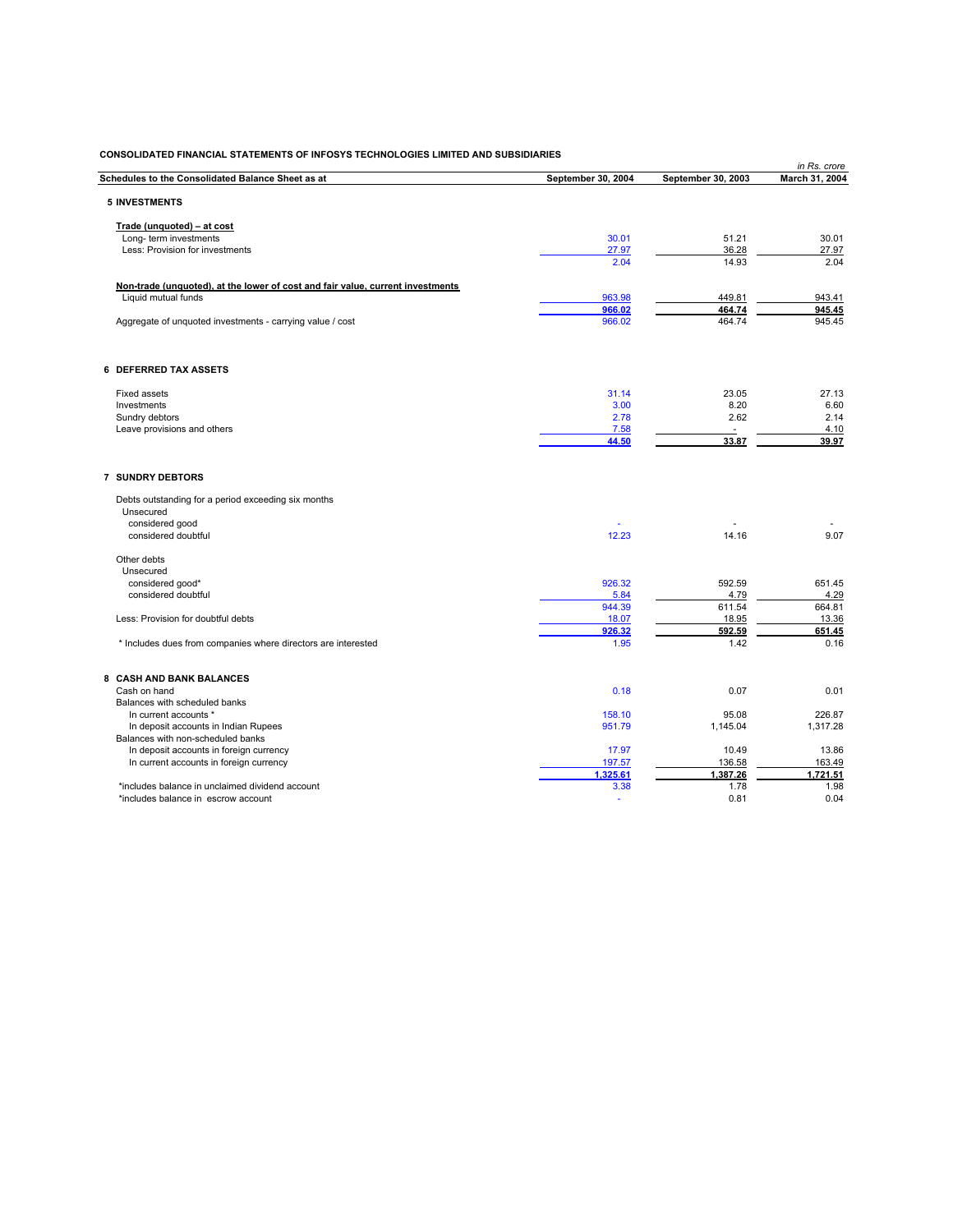|                                                                                |                    |                    | in Rs. crore   |
|--------------------------------------------------------------------------------|--------------------|--------------------|----------------|
| Schedules to the Consolidated Balance Sheet as at                              | September 30, 2004 | September 30, 2003 | March 31, 2004 |
| <b>5 INVESTMENTS</b>                                                           |                    |                    |                |
|                                                                                |                    |                    |                |
| Trade (unquoted) - at cost                                                     |                    |                    |                |
| Long-term investments                                                          | 30.01              | 51.21              | 30.01          |
| Less: Provision for investments                                                | 27.97              | 36.28              | 27.97          |
|                                                                                | 2.04               | 14.93              | 2.04           |
| Non-trade (unquoted), at the lower of cost and fair value, current investments |                    |                    |                |
| Liquid mutual funds                                                            | 963.98             | 449.81             | 943.41         |
|                                                                                | 966.02             | 464.74             | 945.45         |
| Aggregate of unquoted investments - carrying value / cost                      | 966.02             | 464.74             | 945.45         |
|                                                                                |                    |                    |                |
|                                                                                |                    |                    |                |
| <b>6 DEFERRED TAX ASSETS</b>                                                   |                    |                    |                |
| <b>Fixed assets</b>                                                            | 31.14              | 23.05              | 27.13          |
| Investments                                                                    | 3.00               | 8.20               | 6.60           |
| Sundry debtors                                                                 | 2.78               | 2.62               | 2.14           |
| Leave provisions and others                                                    | 7.58               |                    | 4.10           |
|                                                                                | 44.50              | 33.87              | 39.97          |
| <b>7 SUNDRY DEBTORS</b>                                                        |                    |                    |                |
|                                                                                |                    |                    |                |
| Debts outstanding for a period exceeding six months                            |                    |                    |                |
| Unsecured                                                                      |                    |                    |                |
| considered good                                                                |                    |                    |                |
| considered doubtful                                                            | 12.23              | 14.16              | 9.07           |
| Other debts                                                                    |                    |                    |                |
| Unsecured                                                                      |                    |                    |                |
| considered good*                                                               | 926.32             | 592.59             | 651.45         |
| considered doubtful                                                            | 5.84               | 4.79               | 4.29           |
|                                                                                | 944.39             | 611.54             | 664.81         |
| Less: Provision for doubtful debts                                             | 18.07              | 18.95              | 13.36          |
|                                                                                | 926.32             | 592.59             | 651.45         |
| * Includes dues from companies where directors are interested                  | 1.95               | 1.42               | 0.16           |
|                                                                                |                    |                    |                |
| 8 CASH AND BANK BALANCES                                                       |                    |                    |                |
| Cash on hand                                                                   | 0.18               | 0.07               | 0.01           |
| Balances with scheduled banks                                                  |                    |                    |                |
| In current accounts *                                                          | 158.10             | 95.08              | 226.87         |
| In deposit accounts in Indian Rupees<br>Balances with non-scheduled banks      | 951.79             | 1,145.04           | 1,317.28       |
| In deposit accounts in foreign currency                                        | 17.97              | 10.49              | 13.86          |
| In current accounts in foreign currency                                        | 197.57             | 136.58             | 163.49         |
|                                                                                | 1,325.61           | 1,387.26           | 1,721.51       |
|                                                                                |                    |                    |                |

\*includes balance in unclaimed dividend account 3.38 1.98 1.78 \*includes balance in escrow account - 0.04 0.81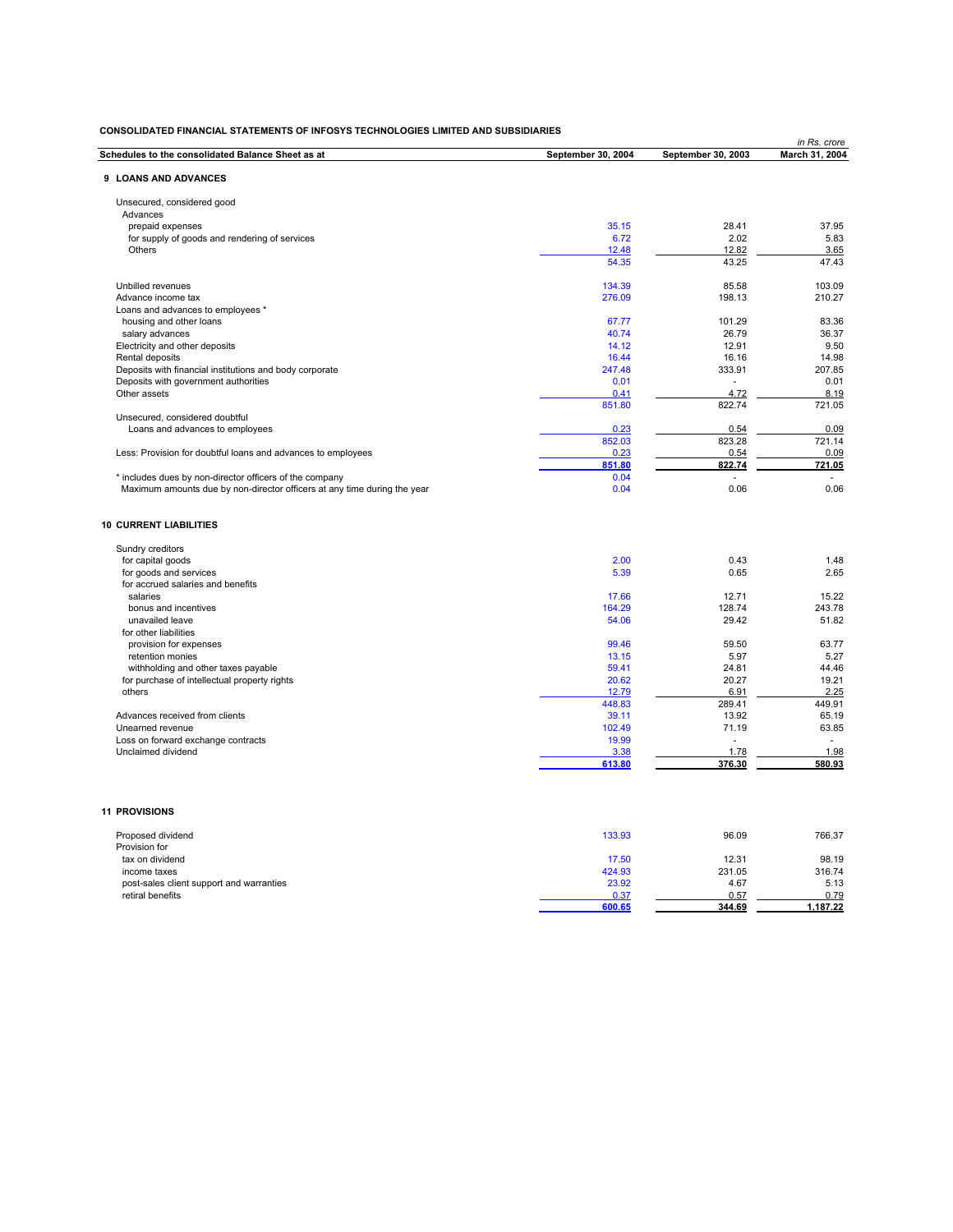| CONSOLIDATED FINANCIAL STATEMENTS OF INFOSYS TECHNOLOGIES LIMITED AND SUBSIDIARIES |                    |                    | in Rs. crore    |
|------------------------------------------------------------------------------------|--------------------|--------------------|-----------------|
| Schedules to the consolidated Balance Sheet as at                                  | September 30, 2004 | September 30, 2003 | March 31, 2004  |
| 9 LOANS AND ADVANCES                                                               |                    |                    |                 |
|                                                                                    |                    |                    |                 |
| Unsecured, considered good                                                         |                    |                    |                 |
| Advances                                                                           |                    |                    |                 |
| prepaid expenses                                                                   | 35.15              | 28.41              | 37.95           |
| for supply of goods and rendering of services                                      | 6.72               | 2.02               | 5.83            |
| Others                                                                             | 12.48<br>54.35     | 12.82<br>43.25     | 3.65<br>47.43   |
| Unbilled revenues                                                                  | 134.39             | 85.58              | 103.09          |
| Advance income tax                                                                 | 276.09             | 198.13             | 210.27          |
| Loans and advances to employees *                                                  |                    |                    |                 |
| housing and other loans                                                            | 67.77              | 101.29             | 83.36           |
| salary advances                                                                    | 40.74              | 26.79              | 36.37           |
| Electricity and other deposits                                                     | 14.12              | 12.91              | 9.50            |
| Rental deposits                                                                    | 16.44              | 16.16              | 14.98           |
| Deposits with financial institutions and body corporate                            | 247.48             | 333.91             | 207.85          |
| Deposits with government authorities                                               | 0.01               | ÷                  | 0.01            |
| Other assets                                                                       | 0.41               | 4.72               | 8.19            |
|                                                                                    | 851.80             | 822.74             | 721.05          |
| Unsecured, considered doubtful                                                     |                    |                    |                 |
| Loans and advances to employees                                                    | 0.23               | 0.54               | 0.09            |
|                                                                                    | 852.03             | 823.28             | 721.14          |
| Less: Provision for doubtful loans and advances to employees                       | 0.23               | 0.54               | 0.09            |
|                                                                                    | 851.80             | 822.74             | 721.05          |
| * includes dues by non-director officers of the company                            | 0.04               |                    |                 |
| Maximum amounts due by non-director officers at any time during the year           | 0.04               | 0.06               | 0.06            |
| Sundry creditors<br>for capital goods                                              | 2.00               | 0.43               | 1.48            |
| for goods and services                                                             | 5.39               | 0.65               | 2.65            |
| for accrued salaries and benefits                                                  |                    |                    |                 |
| salaries                                                                           | 17.66              | 12.71              | 15.22           |
| bonus and incentives                                                               | 164.29             | 128.74             | 243.78          |
| unavailed leave                                                                    | 54.06              | 29.42              | 51.82           |
| for other liabilities                                                              | 99.46              | 59.50              | 63.77           |
| provision for expenses<br>retention monies                                         | 13.15              | 5.97               | 5.27            |
| withholding and other taxes payable                                                | 59.41              | 24.81              | 44.46           |
| for purchase of intellectual property rights                                       | 20.62              | 20.27              | 19.21           |
| others                                                                             | 12.79              | 6.91               | 2.25            |
|                                                                                    | 448.83             | 289.41             | 449.91          |
| Advances received from clients                                                     | 39.11              | 13.92              | 65.19           |
| Unearned revenue                                                                   | 102.49             | 71.19              | 63.85           |
| Loss on forward exchange contracts                                                 | 19.99              |                    |                 |
| Unclaimed dividend                                                                 | 3.38               | 1.78               | 1.98            |
|                                                                                    | 613.80             | 376.30             | 580.93          |
| <b>11 PROVISIONS</b>                                                               |                    |                    |                 |
|                                                                                    |                    |                    |                 |
| Proposed dividend                                                                  | 133.93             | 96.09              | 766.37          |
| Provision for                                                                      |                    |                    |                 |
| tax on dividend                                                                    | 17.50              | 12.31<br>231.05    | 98.19<br>316.74 |
| income taxes<br>post-sales client support and warranties                           | 424.93<br>23.92    | 4.67               | 5.13            |
| retiral benefits                                                                   | 0.37               | 0.57               | 0.79            |
|                                                                                    | 600.65             | 344.69             | 1.187.22        |
|                                                                                    |                    |                    |                 |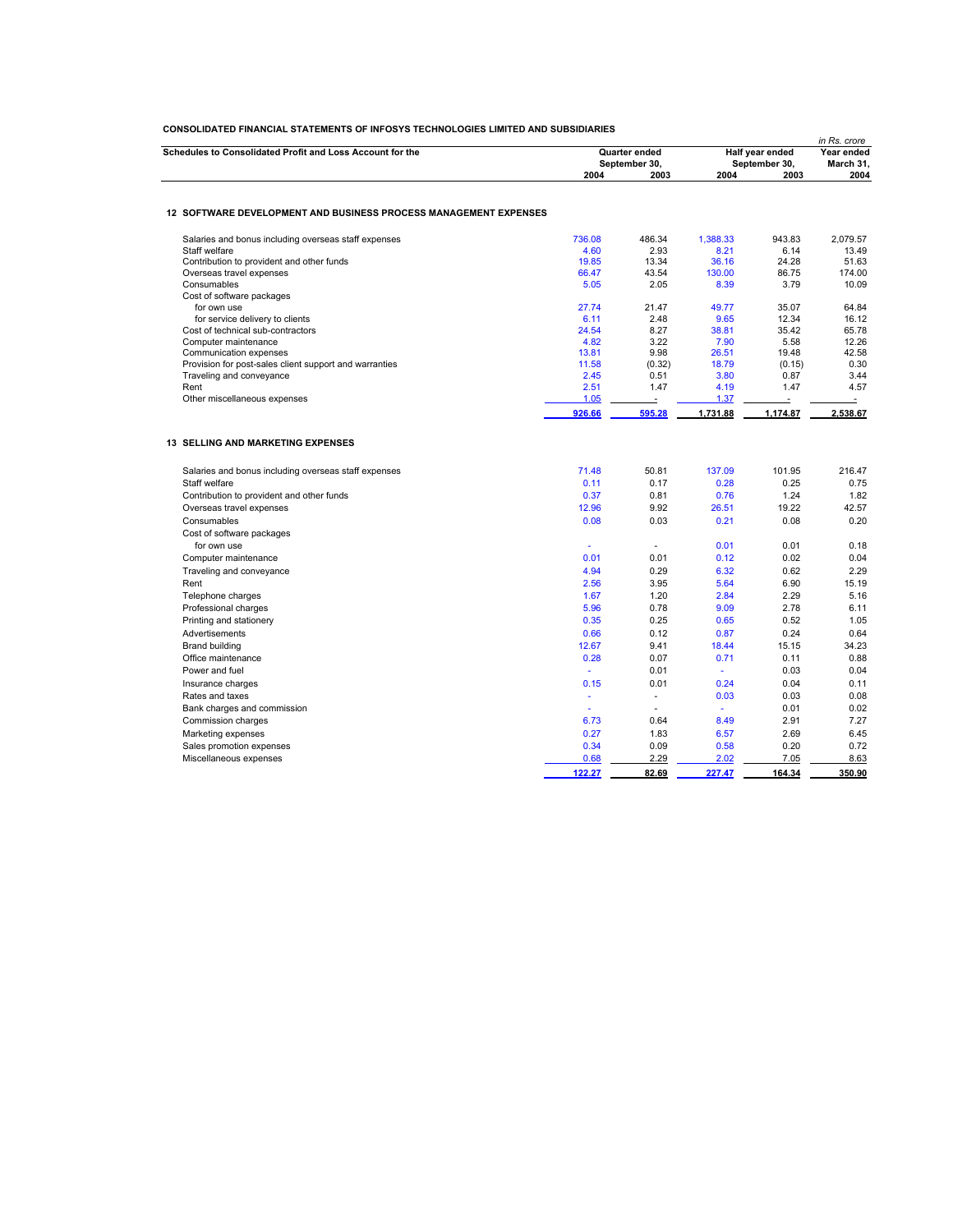|                                                                                    |                |                          |                       |                         | in Rs. crore             |
|------------------------------------------------------------------------------------|----------------|--------------------------|-----------------------|-------------------------|--------------------------|
| Schedules to Consolidated Profit and Loss Account for the                          |                | Quarter ended            | Half year ended       | Year ended<br>March 31. |                          |
|                                                                                    |                | September 30,            | September 30,<br>2004 |                         |                          |
|                                                                                    | 2004           | 2003                     |                       | 2003                    | 2004                     |
| 12 SOFTWARE DEVELOPMENT AND BUSINESS PROCESS MANAGEMENT EXPENSES                   |                |                          |                       |                         |                          |
| Salaries and bonus including overseas staff expenses                               | 736.08         | 486.34                   | 1,388.33              | 943.83                  | 2,079.57                 |
| Staff welfare                                                                      | 4.60           | 2.93                     | 8.21                  | 6.14                    | 13.49                    |
| Contribution to provident and other funds                                          | 19.85          | 13.34                    | 36.16                 | 24.28                   | 51.63                    |
| Overseas travel expenses                                                           | 66.47          | 43.54                    | 130.00                | 86.75                   | 174.00                   |
| Consumables                                                                        | 5.05           | 2.05                     | 8.39                  | 3.79                    | 10.09                    |
| Cost of software packages                                                          |                |                          |                       |                         |                          |
| for own use                                                                        | 27.74          | 21.47                    | 49.77                 | 35.07                   | 64.84                    |
| for service delivery to clients                                                    | 6.11           | 2.48                     | 9.65                  | 12.34                   | 16.12                    |
| Cost of technical sub-contractors                                                  | 24.54          | 8.27                     | 38.81                 | 35.42                   | 65.78                    |
| Computer maintenance                                                               | 4.82           | 3.22                     | 7.90                  | 5.58                    | 12.26                    |
| Communication expenses                                                             | 13.81<br>11.58 | 9.98                     | 26.51<br>18.79        | 19.48                   | 42.58<br>0.30            |
| Provision for post-sales client support and warranties<br>Traveling and conveyance | 2.45           | (0.32)<br>0.51           | 3.80                  | (0.15)<br>0.87          | 3.44                     |
| Rent                                                                               | 2.51           | 1.47                     | 4.19                  | 1.47                    | 4.57                     |
| Other miscellaneous expenses                                                       | 1.05           |                          | 1.37                  |                         | $\overline{\phantom{a}}$ |
|                                                                                    | 926.66         | 595.28                   | 1.731.88              | 1.174.87                | 2.538.67                 |
|                                                                                    |                |                          |                       |                         |                          |
| <b>13 SELLING AND MARKETING EXPENSES</b>                                           |                |                          |                       |                         |                          |
| Salaries and bonus including overseas staff expenses                               | 71.48          | 50.81                    | 137.09                | 101.95                  | 216.47                   |
| Staff welfare                                                                      | 0.11           | 0.17                     | 0.28                  | 0.25                    | 0.75                     |
| Contribution to provident and other funds                                          | 0.37           | 0.81                     | 0.76                  | 1.24                    | 1.82                     |
| Overseas travel expenses                                                           | 12.96          | 9.92                     | 26.51                 | 19.22                   | 42.57                    |
| Consumables                                                                        | 0.08           | 0.03                     | 0.21                  | 0.08                    | 0.20                     |
| Cost of software packages                                                          |                |                          |                       |                         |                          |
| for own use                                                                        | ä,             | ÷                        | 0.01                  | 0.01                    | 0.18                     |
| Computer maintenance                                                               | 0.01           | 0.01                     | 0.12                  | 0.02                    | 0.04                     |
| Traveling and conveyance                                                           | 4.94           | 0.29                     | 6.32                  | 0.62                    | 2.29                     |
| Rent                                                                               | 2.56           | 3.95                     | 5.64                  | 6.90                    | 15.19                    |
| Telephone charges                                                                  | 1.67           | 1.20                     | 2.84                  | 2.29                    | 5.16                     |
| Professional charges                                                               | 5.96           | 0.78                     | 9.09                  | 2.78                    | 6.11                     |
| Printing and stationery                                                            | 0.35           | 0.25                     | 0.65                  | 0.52                    | 1.05                     |
| Advertisements                                                                     | 0.66           | 0.12                     | 0.87                  | 0.24                    | 0.64                     |
| <b>Brand building</b>                                                              | 12.67          | 9.41                     | 18.44                 | 15.15                   | 34.23                    |
| Office maintenance                                                                 | 0.28           | 0.07                     | 0.71                  | 0.11                    | 0.88                     |
| Power and fuel                                                                     | ÷.             | 0.01                     | ÷.                    | 0.03                    | 0.04                     |
| Insurance charges                                                                  | 0.15           | 0.01                     | 0.24                  | 0.04                    | 0.11                     |
| Rates and taxes                                                                    | ä,             | $\overline{\phantom{m}}$ | 0.03                  | 0.03                    | 0.08                     |
| Bank charges and commission                                                        | ÷              | ٠                        | $\omega$              | 0.01                    | 0.02                     |
| Commission charges                                                                 | 6.73           | 0.64                     | 8.49                  | 2.91                    | 7.27                     |
| Marketing expenses                                                                 | 0.27           | 1.83                     | 6.57                  | 2.69                    | 6.45                     |
| Sales promotion expenses                                                           | 0.34           | 0.09                     | 0.58                  | 0.20                    | 0.72                     |
| Miscellaneous expenses                                                             | 0.68           | 2.29                     | 2.02                  | 7.05                    | 8.63                     |
|                                                                                    |                |                          |                       |                         |                          |
|                                                                                    | 122.27         | 82.69                    | 227.47                | 164.34                  | 350.90                   |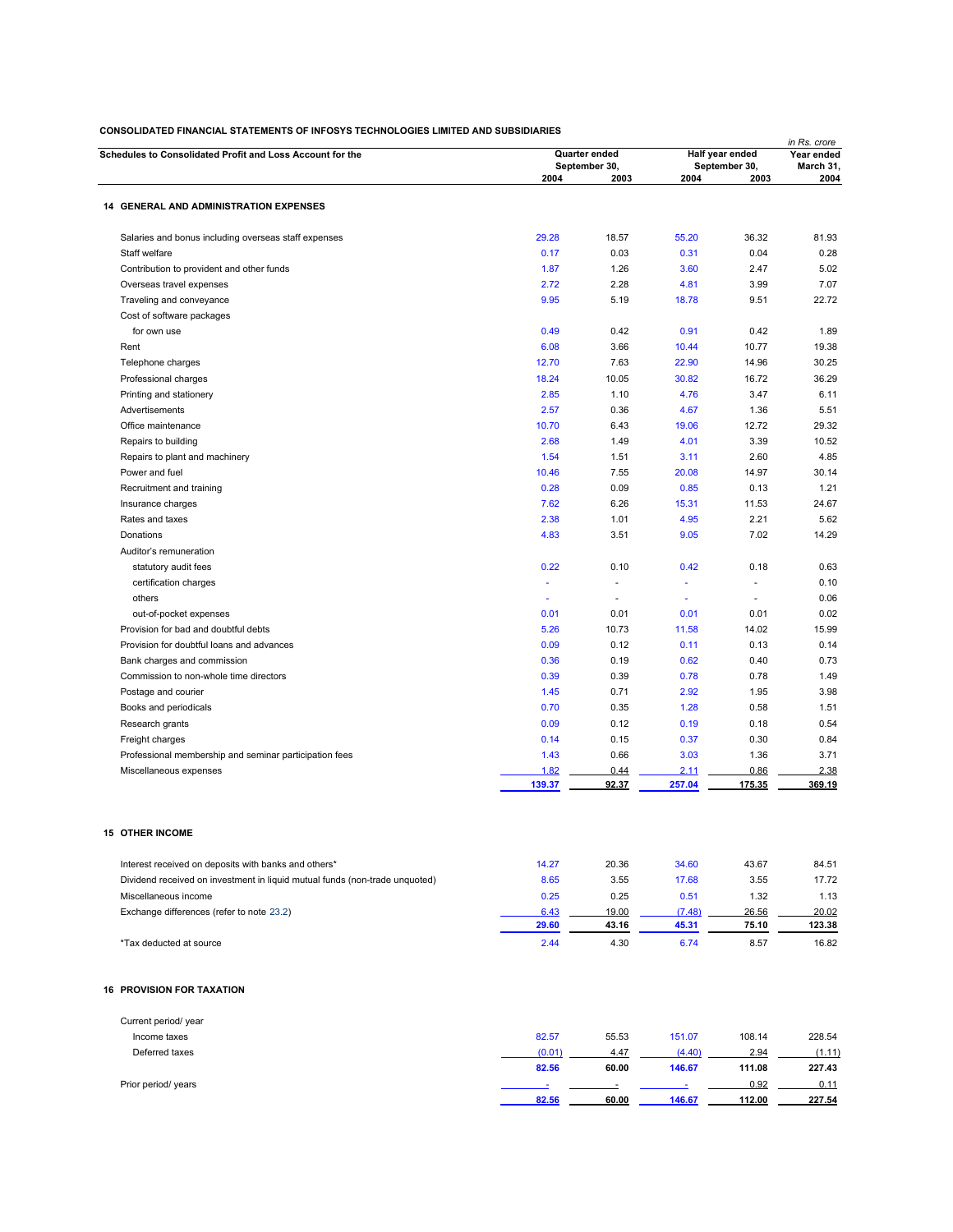| Schedules to Consolidated Profit and Loss Account for the                   |                     | Quarter ended<br>September 30, |                          |                       | in Rs. crore<br>Year ended<br>March 31, |  |
|-----------------------------------------------------------------------------|---------------------|--------------------------------|--------------------------|-----------------------|-----------------------------------------|--|
|                                                                             | 2004                | 2003                           | 2004                     | September 30,<br>2003 | 2004                                    |  |
| <b>14 GENERAL AND ADMINISTRATION EXPENSES</b>                               |                     |                                |                          |                       |                                         |  |
| Salaries and bonus including overseas staff expenses                        | 29.28               | 18.57                          | 55.20                    | 36.32                 | 81.93                                   |  |
| Staff welfare                                                               | 0.17                | 0.03                           | 0.31                     | 0.04                  | 0.28                                    |  |
| Contribution to provident and other funds                                   | 1.87                | 1.26                           | 3.60                     | 2.47                  | 5.02                                    |  |
| Overseas travel expenses                                                    | 2.72                | 2.28                           | 4.81                     | 3.99                  | 7.07                                    |  |
| Traveling and conveyance                                                    | 9.95                | 5.19                           | 18.78                    | 9.51                  | 22.72                                   |  |
| Cost of software packages                                                   |                     |                                |                          |                       |                                         |  |
| for own use                                                                 | 0.49                | 0.42                           | 0.91                     | 0.42                  | 1.89                                    |  |
| Rent                                                                        | 6.08                | 3.66                           | 10.44                    | 10.77                 | 19.38                                   |  |
| Telephone charges                                                           | 12.70               | 7.63                           | 22.90                    | 14.96                 | 30.25                                   |  |
| Professional charges                                                        | 18.24               | 10.05                          | 30.82                    | 16.72                 | 36.29                                   |  |
| Printing and stationery                                                     | 2.85                | 1.10                           | 4.76                     | 3.47                  | 6.11                                    |  |
| Advertisements                                                              | 2.57                | 0.36                           | 4.67                     | 1.36                  | 5.51                                    |  |
| Office maintenance                                                          | 10.70               | 6.43                           | 19.06                    | 12.72                 | 29.32                                   |  |
| Repairs to building                                                         | 2.68                | 1.49                           | 4.01                     | 3.39                  | 10.52                                   |  |
| Repairs to plant and machinery                                              | 1.54                | 1.51                           | 3.11                     | 2.60                  | 4.85                                    |  |
| Power and fuel                                                              | 10.46               | 7.55                           | 20.08                    | 14.97                 | 30.14                                   |  |
| Recruitment and training                                                    | 0.28                | 0.09                           | 0.85                     | 0.13                  | 1.21                                    |  |
| Insurance charges                                                           | 7.62                | 6.26                           | 15.31                    | 11.53                 | 24.67                                   |  |
| Rates and taxes                                                             | 2.38                | 1.01                           | 4.95                     | 2.21                  | 5.62                                    |  |
| Donations                                                                   | 4.83                | 3.51                           | 9.05                     | 7.02                  | 14.29                                   |  |
| Auditor's remuneration                                                      |                     |                                |                          |                       |                                         |  |
| statutory audit fees                                                        | 0.22                | 0.10                           | 0.42                     | 0.18                  | 0.63                                    |  |
| certification charges                                                       | Ξ                   | $\sim$                         | $\overline{\phantom{a}}$ |                       | 0.10                                    |  |
|                                                                             |                     |                                | ÷.                       |                       |                                         |  |
| others                                                                      | $\bar{\phantom{a}}$ |                                |                          |                       | 0.06                                    |  |
| out-of-pocket expenses                                                      | 0.01                | 0.01                           | 0.01                     | 0.01                  | 0.02                                    |  |
| Provision for bad and doubtful debts                                        | 5.26                | 10.73                          | 11.58                    | 14.02                 | 15.99                                   |  |
| Provision for doubtful loans and advances                                   | 0.09                | 0.12                           | 0.11                     | 0.13                  | 0.14                                    |  |
| Bank charges and commission                                                 | 0.36                | 0.19                           | 0.62                     | 0.40                  | 0.73                                    |  |
| Commission to non-whole time directors                                      | 0.39                | 0.39                           | 0.78                     | 0.78                  | 1.49                                    |  |
| Postage and courier                                                         | 1.45                | 0.71                           | 2.92                     | 1.95                  | 3.98                                    |  |
| Books and periodicals                                                       | 0.70                | 0.35                           | 1.28                     | 0.58                  | 1.51                                    |  |
| Research grants                                                             | 0.09                | 0.12                           | 0.19                     | 0.18                  | 0.54                                    |  |
| Freight charges                                                             | 0.14                | 0.15                           | 0.37                     | 0.30                  | 0.84                                    |  |
| Professional membership and seminar participation fees                      | 1.43                | 0.66                           | 3.03                     | 1.36                  | 3.71                                    |  |
| Miscellaneous expenses                                                      | 1.82                | 0.44                           | 2.11                     | 0.86                  | 2.38                                    |  |
|                                                                             | 139.37              | 92.37                          | 257.04                   | 175.35                | 369.19                                  |  |
| <b>15 OTHER INCOME</b>                                                      |                     |                                |                          |                       |                                         |  |
| Interest received on deposits with banks and others*                        | 14.27               | 20.36                          | 34.60                    | 43.67                 | 84.51                                   |  |
| Dividend received on investment in liquid mutual funds (non-trade unquoted) | 8.65                | 3.55                           | 17.68                    | 3.55                  | 17.72                                   |  |
|                                                                             |                     |                                |                          |                       |                                         |  |
| Miscellaneous income                                                        | 0.25                | 0.25                           | 0.51                     | 1.32                  | 1.13                                    |  |
| Exchange differences (refer to note 23.2)                                   | 6.43<br>29.60       | 19.00<br>43.16                 | (7.48)<br>45.31          | 26.56<br>75.10        | 20.02<br>123.38                         |  |
| *Tax deducted at source                                                     | 2.44                | 4.30                           | 6.74                     | 8.57                  | 16.82                                   |  |
| <b>16 PROVISION FOR TAXATION</b>                                            |                     |                                |                          |                       |                                         |  |
| Current period/ year                                                        |                     |                                |                          |                       |                                         |  |
| Income taxes                                                                | 82.57               | 55.53                          | 151.07                   | 108.14                | 228.54                                  |  |
| Deferred taxes                                                              | (0.01)              | 4.47                           | (4.40)                   | 2.94                  | (1.11)                                  |  |
|                                                                             | 82.56               | 60.00                          | 146.67                   | 111.08                | 227.43                                  |  |
| Prior period/ years                                                         |                     |                                |                          | 0.92                  | 0.11                                    |  |
|                                                                             | 82.56               | 60.00                          | 146.67                   | 112.00                | 227.54                                  |  |